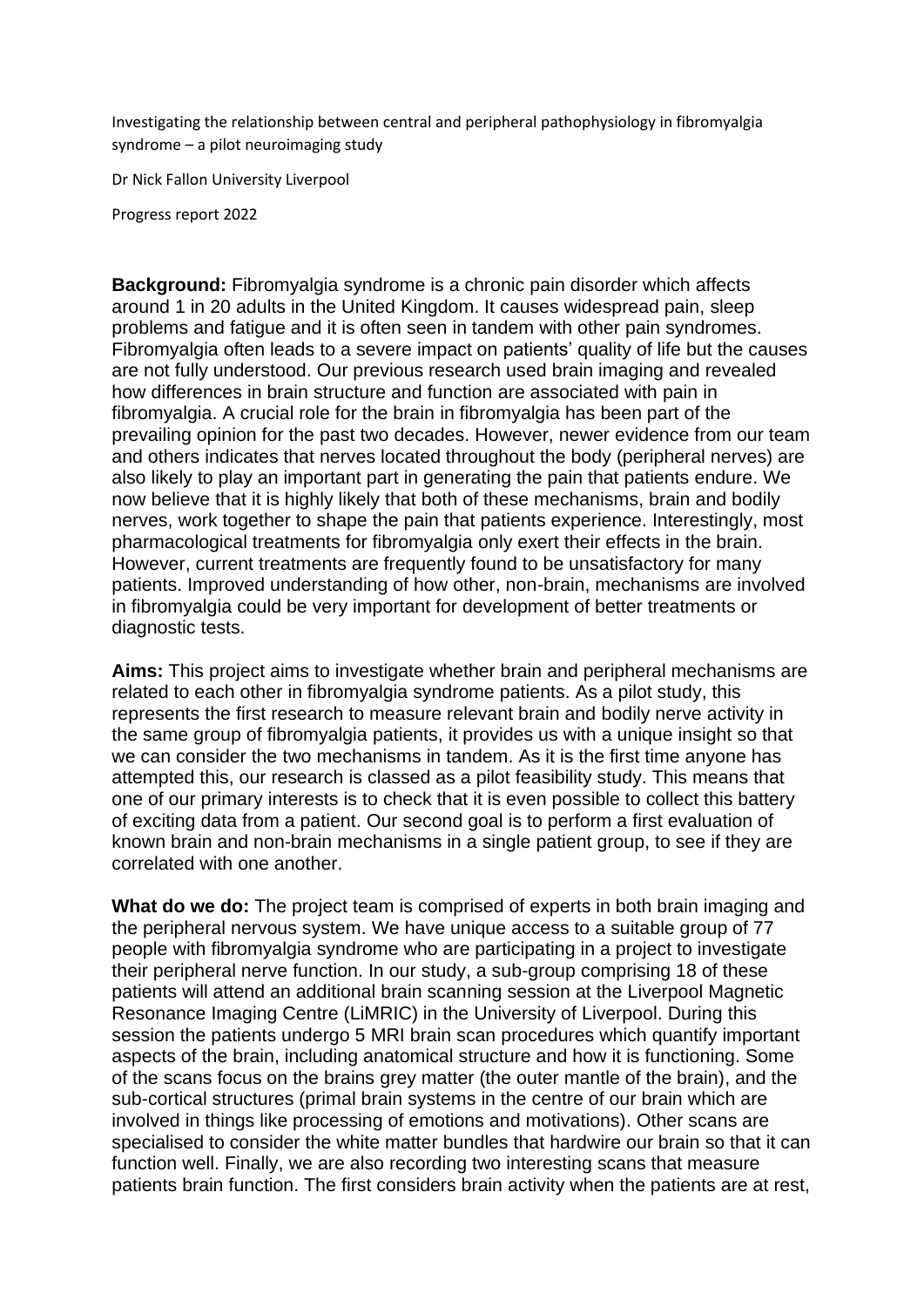Investigating the relationship between central and peripheral pathophysiology in fibromyalgia syndrome – a pilot neuroimaging study

Dr Nick Fallon University Liverpool

Progress report 2022

**Background:** Fibromyalgia syndrome is a chronic pain disorder which affects around 1 in 20 adults in the United Kingdom. It causes widespread pain, sleep problems and fatigue and it is often seen in tandem with other pain syndromes. Fibromyalgia often leads to a severe impact on patients' quality of life but the causes are not fully understood. Our previous research used brain imaging and revealed how differences in brain structure and function are associated with pain in fibromyalgia. A crucial role for the brain in fibromyalgia has been part of the prevailing opinion for the past two decades. However, newer evidence from our team and others indicates that nerves located throughout the body (peripheral nerves) are also likely to play an important part in generating the pain that patients endure. We now believe that it is highly likely that both of these mechanisms, brain and bodily nerves, work together to shape the pain that patients experience. Interestingly, most pharmacological treatments for fibromyalgia only exert their effects in the brain. However, current treatments are frequently found to be unsatisfactory for many patients. Improved understanding of how other, non-brain, mechanisms are involved in fibromyalgia could be very important for development of better treatments or diagnostic tests.

**Aims:** This project aims to investigate whether brain and peripheral mechanisms are related to each other in fibromyalgia syndrome patients. As a pilot study, this represents the first research to measure relevant brain and bodily nerve activity in the same group of fibromyalgia patients, it provides us with a unique insight so that we can consider the two mechanisms in tandem. As it is the first time anyone has attempted this, our research is classed as a pilot feasibility study. This means that one of our primary interests is to check that it is even possible to collect this battery of exciting data from a patient. Our second goal is to perform a first evaluation of known brain and non-brain mechanisms in a single patient group, to see if they are correlated with one another.

**What do we do:** The project team is comprised of experts in both brain imaging and the peripheral nervous system. We have unique access to a suitable group of 77 people with fibromyalgia syndrome who are participating in a project to investigate their peripheral nerve function. In our study, a sub-group comprising 18 of these patients will attend an additional brain scanning session at the Liverpool Magnetic Resonance Imaging Centre (LiMRIC) in the University of Liverpool. During this session the patients undergo 5 MRI brain scan procedures which quantify important aspects of the brain, including anatomical structure and how it is functioning. Some of the scans focus on the brains grey matter (the outer mantle of the brain), and the sub-cortical structures (primal brain systems in the centre of our brain which are involved in things like processing of emotions and motivations). Other scans are specialised to consider the white matter bundles that hardwire our brain so that it can function well. Finally, we are also recording two interesting scans that measure patients brain function. The first considers brain activity when the patients are at rest,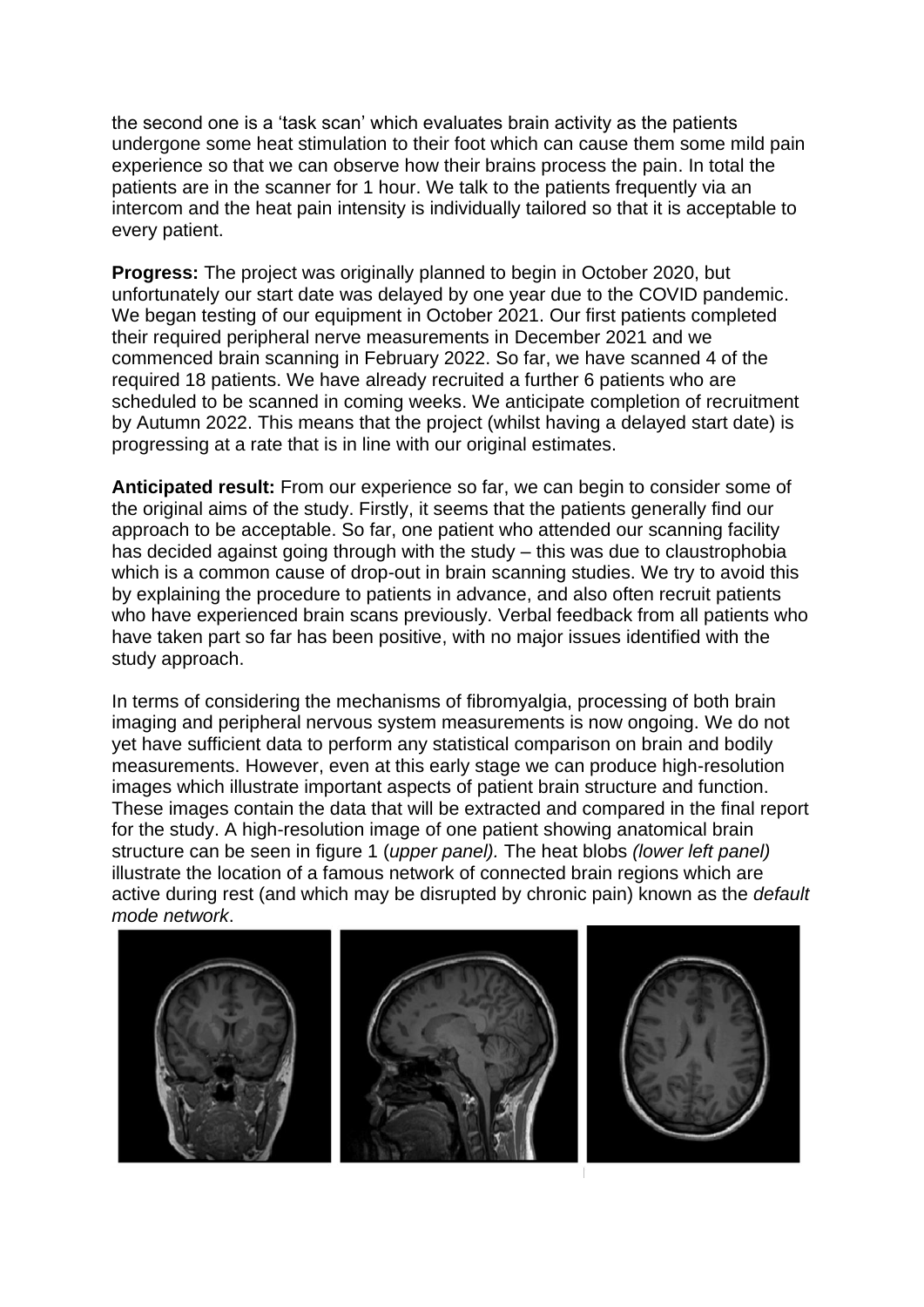the second one is a 'task scan' which evaluates brain activity as the patients undergone some heat stimulation to their foot which can cause them some mild pain experience so that we can observe how their brains process the pain. In total the patients are in the scanner for 1 hour. We talk to the patients frequently via an intercom and the heat pain intensity is individually tailored so that it is acceptable to every patient.

**Progress:** The project was originally planned to begin in October 2020, but unfortunately our start date was delayed by one year due to the COVID pandemic. We began testing of our equipment in October 2021. Our first patients completed their required peripheral nerve measurements in December 2021 and we commenced brain scanning in February 2022. So far, we have scanned 4 of the required 18 patients. We have already recruited a further 6 patients who are scheduled to be scanned in coming weeks. We anticipate completion of recruitment by Autumn 2022. This means that the project (whilst having a delayed start date) is progressing at a rate that is in line with our original estimates.

**Anticipated result:** From our experience so far, we can begin to consider some of the original aims of the study. Firstly, it seems that the patients generally find our approach to be acceptable. So far, one patient who attended our scanning facility has decided against going through with the study – this was due to claustrophobia which is a common cause of drop-out in brain scanning studies. We try to avoid this by explaining the procedure to patients in advance, and also often recruit patients who have experienced brain scans previously. Verbal feedback from all patients who have taken part so far has been positive, with no major issues identified with the study approach.

In terms of considering the mechanisms of fibromyalgia, processing of both brain imaging and peripheral nervous system measurements is now ongoing. We do not yet have sufficient data to perform any statistical comparison on brain and bodily measurements. However, even at this early stage we can produce high-resolution images which illustrate important aspects of patient brain structure and function. These images contain the data that will be extracted and compared in the final report for the study. A high-resolution image of one patient showing anatomical brain structure can be seen in figure 1 (*upper panel).* The heat blobs *(lower left panel)* illustrate the location of a famous network of connected brain regions which are active during rest (and which may be disrupted by chronic pain) known as the *default mode network*.